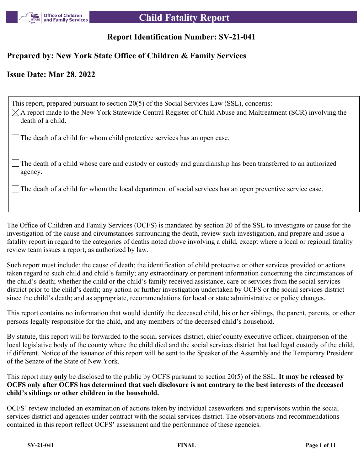

## **Report Identification Number: SV-21-041**

## **Prepared by: New York State Office of Children & Family Services**

## **Issue Date: Mar 28, 2022**

This report, prepared pursuant to section 20(5) of the Social Services Law (SSL), concerns:  $\boxtimes$ A report made to the New York Statewide Central Register of Child Abuse and Maltreatment (SCR) involving the death of a child.

The death of a child for whom child protective services has an open case.

The death of a child whose care and custody or custody and guardianship has been transferred to an authorized agency.

The death of a child for whom the local department of social services has an open preventive service case.

The Office of Children and Family Services (OCFS) is mandated by section 20 of the SSL to investigate or cause for the investigation of the cause and circumstances surrounding the death, review such investigation, and prepare and issue a fatality report in regard to the categories of deaths noted above involving a child, except where a local or regional fatality review team issues a report, as authorized by law.

Such report must include: the cause of death; the identification of child protective or other services provided or actions taken regard to such child and child's family; any extraordinary or pertinent information concerning the circumstances of the child's death; whether the child or the child's family received assistance, care or services from the social services district prior to the child's death; any action or further investigation undertaken by OCFS or the social services district since the child's death; and as appropriate, recommendations for local or state administrative or policy changes.

This report contains no information that would identify the deceased child, his or her siblings, the parent, parents, or other persons legally responsible for the child, and any members of the deceased child's household.

By statute, this report will be forwarded to the social services district, chief county executive officer, chairperson of the local legislative body of the county where the child died and the social services district that had legal custody of the child, if different. Notice of the issuance of this report will be sent to the Speaker of the Assembly and the Temporary President of the Senate of the State of New York.

This report may **only** be disclosed to the public by OCFS pursuant to section 20(5) of the SSL. **It may be released by OCFS only after OCFS has determined that such disclosure is not contrary to the best interests of the deceased child's siblings or other children in the household.**

OCFS' review included an examination of actions taken by individual caseworkers and supervisors within the social services district and agencies under contract with the social services district. The observations and recommendations contained in this report reflect OCFS' assessment and the performance of these agencies.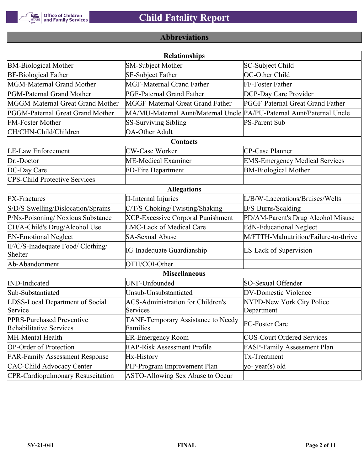

## **Abbreviations**

| <b>Relationships</b>                                 |                                                                       |                                       |  |  |  |
|------------------------------------------------------|-----------------------------------------------------------------------|---------------------------------------|--|--|--|
| <b>BM-Biological Mother</b>                          | <b>SM-Subject Mother</b>                                              | SC-Subject Child                      |  |  |  |
| <b>BF-Biological Father</b>                          | SF-Subject Father                                                     | OC-Other Child                        |  |  |  |
| MGM-Maternal Grand Mother                            | <b>MGF-Maternal Grand Father</b>                                      | FF-Foster Father                      |  |  |  |
| PGM-Paternal Grand Mother                            | PGF-Paternal Grand Father                                             | DCP-Day Care Provider                 |  |  |  |
| MGGM-Maternal Great Grand Mother                     | MGGF-Maternal Great Grand Father                                      | PGGF-Paternal Great Grand Father      |  |  |  |
| PGGM-Paternal Great Grand Mother                     | MA/MU-Maternal Aunt/Maternal Uncle PA/PU-Paternal Aunt/Paternal Uncle |                                       |  |  |  |
| <b>FM-Foster Mother</b>                              | <b>SS-Surviving Sibling</b>                                           | <b>PS-Parent Sub</b>                  |  |  |  |
| CH/CHN-Child/Children                                | <b>OA-Other Adult</b>                                                 |                                       |  |  |  |
|                                                      | Contacts                                                              |                                       |  |  |  |
| <b>LE-Law Enforcement</b>                            | <b>CW-Case Worker</b>                                                 | CP-Case Planner                       |  |  |  |
| Dr.-Doctor                                           | ME-Medical Examiner                                                   | <b>EMS-Emergency Medical Services</b> |  |  |  |
| DC-Day Care                                          | FD-Fire Department                                                    | <b>BM-Biological Mother</b>           |  |  |  |
| <b>CPS-Child Protective Services</b>                 |                                                                       |                                       |  |  |  |
|                                                      | <b>Allegations</b>                                                    |                                       |  |  |  |
| <b>FX-Fractures</b>                                  | <b>II-Internal Injuries</b>                                           | L/B/W-Lacerations/Bruises/Welts       |  |  |  |
| S/D/S-Swelling/Dislocation/Sprains                   | C/T/S-Choking/Twisting/Shaking                                        | B/S-Burns/Scalding                    |  |  |  |
| P/Nx-Poisoning/ Noxious Substance                    | <b>XCP-Excessive Corporal Punishment</b>                              | PD/AM-Parent's Drug Alcohol Misuse    |  |  |  |
| CD/A-Child's Drug/Alcohol Use                        | <b>LMC-Lack of Medical Care</b>                                       | <b>EdN-Educational Neglect</b>        |  |  |  |
| <b>EN-Emotional Neglect</b>                          | <b>SA-Sexual Abuse</b>                                                | M/FTTH-Malnutrition/Failure-to-thrive |  |  |  |
| IF/C/S-Inadequate Food/ Clothing/<br>Shelter         | <b>IG-Inadequate Guardianship</b>                                     | LS-Lack of Supervision                |  |  |  |
| Ab-Abandonment                                       | OTH/COI-Other                                                         |                                       |  |  |  |
|                                                      | <b>Miscellaneous</b>                                                  |                                       |  |  |  |
| <b>IND-Indicated</b>                                 | UNF-Unfounded                                                         | SO-Sexual Offender                    |  |  |  |
| Sub-Substantiated                                    | Unsub-Unsubstantiated                                                 | <b>DV-Domestic Violence</b>           |  |  |  |
| LDSS-Local Department of Social                      | <b>ACS-Administration for Children's</b>                              | NYPD-New York City Police             |  |  |  |
| Service                                              | Services                                                              | Department                            |  |  |  |
| PPRS-Purchased Preventive<br>Rehabilitative Services | TANF-Temporary Assistance to Needy<br>Families                        | FC-Foster Care                        |  |  |  |
| MH-Mental Health                                     | <b>ER-Emergency Room</b>                                              | <b>COS-Court Ordered Services</b>     |  |  |  |
| <b>OP-Order of Protection</b>                        | <b>RAP-Risk Assessment Profile</b>                                    | FASP-Family Assessment Plan           |  |  |  |
| <b>FAR-Family Assessment Response</b>                | Hx-History                                                            | Tx-Treatment                          |  |  |  |
| <b>CAC-Child Advocacy Center</b>                     | PIP-Program Improvement Plan                                          | yo-year(s) old                        |  |  |  |
| <b>CPR-Cardiopulmonary Resuscitation</b>             | ASTO-Allowing Sex Abuse to Occur                                      |                                       |  |  |  |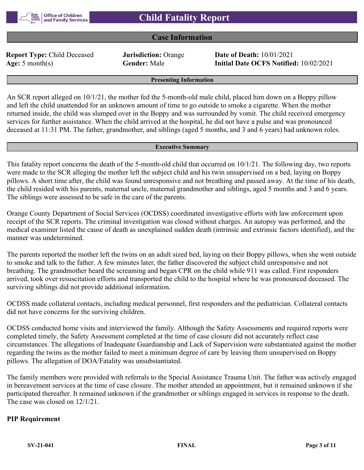## **Case Information**

**Report Type:** Child Deceased **Jurisdiction:** Orange **Date of Death:** 10/01/2021

**Age:** 5 month(s) **Gender:** Male **Initial Date OCFS Notified:** 10/02/2021

#### **Presenting Information**

An SCR report alleged on 10/1/21, the mother fed the 5-month-old male child, placed him down on a Boppy pillow and left the child unattended for an unknown amount of time to go outside to smoke a cigarette. When the mother returned inside, the child was slumped over in the Boppy and was surrounded by vomit. The child received emergency services for further assistance. When the child arrived at the hospital, he did not have a pulse and was pronounced deceased at 11:31 PM. The father, grandmother, and siblings (aged 5 months, and 3 and 6 years) had unknown roles.

#### **Executive Summary**

This fatality report concerns the death of the 5-month-old child that occurred on 10/1/21. The following day, two reports were made to the SCR alleging the mother left the subject child and his twin unsupervised on a bed, laying on Boppy pillows. A short time after, the child was found unresponsive and not breathing and passed away. At the time of his death, the child resided with his parents, maternal uncle, maternal grandmother and siblings, aged 5 months and 3 and 6 years. The siblings were assessed to be safe in the care of the parents.

Orange County Department of Social Services (OCDSS) coordinated investigative efforts with law enforcement upon receipt of the SCR reports. The criminal investigation was closed without charges. An autopsy was performed, and the medical examiner listed the cause of death as unexplained sudden death (intrinsic and extrinsic factors identified), and the manner was undetermined.

The parents reported the mother left the twins on an adult sized bed, laying on their Boppy pillows, when she went outside to smoke and talk to the father. A few minutes later, the father discovered the subject child unresponsive and not breathing. The grandmother heard the screaming and began CPR on the child while 911 was called. First responders arrived, took over resuscitation efforts and transported the child to the hospital where he was pronounced deceased. The surviving siblings did not provide additional information.

OCDSS made collateral contacts, including medical personnel, first responders and the pediatrician. Collateral contacts did not have concerns for the surviving children.

OCDSS conducted home visits and interviewed the family. Although the Safety Assessments and required reports were completed timely, the Safety Assessment completed at the time of case closure did not accurately reflect case circumstances. The allegations of Inadequate Guardianship and Lack of Supervision were substantiated against the mother regarding the twins as the mother failed to meet a minimum degree of care by leaving them unsupervised on Boppy pillows. The allegation of DOA/Fatality was unsubstantiated.

The family members were provided with referrals to the Special Assistance Trauma Unit. The father was actively engaged in bereavement services at the time of case closure. The mother attended an appointment, but it remained unknown if she participated thereafter. It remained unknown if the grandmother or siblings engaged in services in response to the death. The case was closed on 12/1/21.

### **PIP Requirement**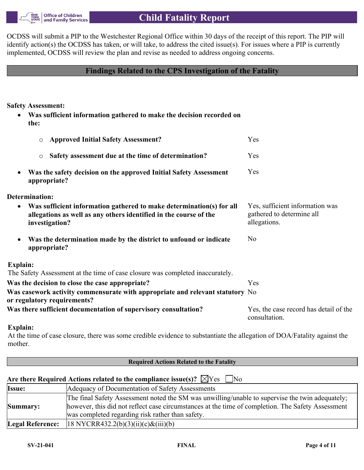

OCDSS will submit a PIP to the Westchester Regional Office within 30 days of the receipt of this report. The PIP will identify action(s) the OCDSS has taken, or will take, to address the cited issue(s). For issues where a PIP is currently implemented, OCDSS will review the plan and revise as needed to address ongoing concerns.

### **Findings Related to the CPS Investigation of the Fatality**

**Safety Assessment:**

 **Was sufficient information gathered to make the decision recorded on the:**

| <b>Approved Initial Safety Assessment?</b><br>$\circ$                                                                                                                    | Yes                                                                          |
|--------------------------------------------------------------------------------------------------------------------------------------------------------------------------|------------------------------------------------------------------------------|
| Safety assessment due at the time of determination?<br>$\circ$                                                                                                           | Yes                                                                          |
| Was the safety decision on the approved Initial Safety Assessment<br>appropriate?                                                                                        | Yes                                                                          |
| Determination:                                                                                                                                                           |                                                                              |
| Was sufficient information gathered to make determination(s) for all<br>$\bullet$<br>allegations as well as any others identified in the course of the<br>investigation? | Yes, sufficient information was<br>gathered to determine all<br>allegations. |
| Was the determination made by the district to unfound or indicate<br>appropriate?                                                                                        | N <sub>0</sub>                                                               |
| Explain:                                                                                                                                                                 |                                                                              |
| The Safety Assessment at the time of case closure was completed inaccurately.                                                                                            |                                                                              |
| Was the decision to close the case appropriate?                                                                                                                          | Yes                                                                          |
| Was casework activity commensurate with appropriate and relevant statutory No<br>or regulatory requirements?                                                             |                                                                              |
| Was there sufficient documentation of supervisory consultation?                                                                                                          | Yes, the case record has detail of the<br>consultation.                      |

### **Explain:**

At the time of case closure, there was some credible evidence to substantiate the allegation of DOA/Fatality against the mother.

| <b>Required Actions Related to the Fatality</b> |                                                                                                                                                                                                                                                          |  |  |  |
|-------------------------------------------------|----------------------------------------------------------------------------------------------------------------------------------------------------------------------------------------------------------------------------------------------------------|--|--|--|
|                                                 |                                                                                                                                                                                                                                                          |  |  |  |
|                                                 | Are there Required Actions related to the compliance issue(s)? $\boxtimes$ Yes $\Box$ No                                                                                                                                                                 |  |  |  |
| <b>Issue:</b>                                   | Adequacy of Documentation of Safety Assessments                                                                                                                                                                                                          |  |  |  |
| Summary:                                        | The final Safety Assessment noted the SM was unwilling/unable to supervise the twin adequately;<br>however, this did not reflect case circumstances at the time of completion. The Safety Assessment<br>was completed regarding risk rather than safety. |  |  |  |
| <b>Legal Reference:</b>                         | $ 18 \text{ NYCRR432.2(b)(3)(ii)(c) & (iii)(b)} $                                                                                                                                                                                                        |  |  |  |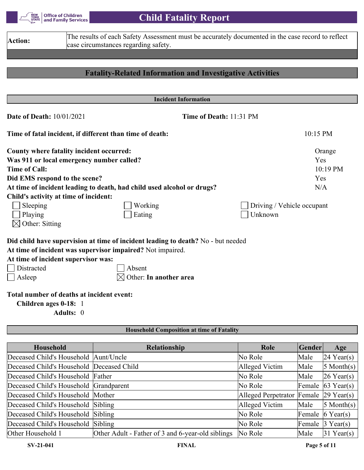

| The results of each Safety Assessment must be accurately documented in the case record to reflect<br>Action:<br>case circumstances regarding safety. |                                                                                  |                            |  |  |
|------------------------------------------------------------------------------------------------------------------------------------------------------|----------------------------------------------------------------------------------|----------------------------|--|--|
|                                                                                                                                                      |                                                                                  |                            |  |  |
|                                                                                                                                                      |                                                                                  |                            |  |  |
|                                                                                                                                                      | <b>Fatality-Related Information and Investigative Activities</b>                 |                            |  |  |
|                                                                                                                                                      |                                                                                  |                            |  |  |
|                                                                                                                                                      | <b>Incident Information</b>                                                      |                            |  |  |
| <b>Date of Death: 10/01/2021</b>                                                                                                                     |                                                                                  | Time of Death: 11:31 PM    |  |  |
|                                                                                                                                                      | Time of fatal incident, if different than time of death:                         | 10:15 PM                   |  |  |
|                                                                                                                                                      | County where fatality incident occurred:                                         | Orange                     |  |  |
|                                                                                                                                                      | Was 911 or local emergency number called?                                        | Yes                        |  |  |
| <b>Time of Call:</b>                                                                                                                                 |                                                                                  | 10:19 PM                   |  |  |
|                                                                                                                                                      | Did EMS respond to the scene?                                                    | Yes                        |  |  |
|                                                                                                                                                      | At time of incident leading to death, had child used alcohol or drugs?           | N/A                        |  |  |
|                                                                                                                                                      | Child's activity at time of incident:                                            |                            |  |  |
| Sleeping                                                                                                                                             | Working                                                                          | Driving / Vehicle occupant |  |  |
| Playing                                                                                                                                              | Eating                                                                           | Unknown                    |  |  |
| Other: Sitting                                                                                                                                       |                                                                                  |                            |  |  |
|                                                                                                                                                      | Did child have supervision at time of incident leading to death? No - but needed |                            |  |  |
|                                                                                                                                                      | At time of incident was supervisor impaired? Not impaired.                       |                            |  |  |
|                                                                                                                                                      | At time of incident supervisor was:                                              |                            |  |  |
| Distracted                                                                                                                                           | Absent                                                                           |                            |  |  |
| Asleep                                                                                                                                               | Other: In another area                                                           |                            |  |  |
|                                                                                                                                                      | Total number of deaths at incident event:<br>Children ages 0-18: 1<br>Adults: 0  |                            |  |  |

### **Household Composition at time of Fatality**

| Household                                 | <b>Relationship</b>                               | Role                                  | Gender | Age                                        |
|-------------------------------------------|---------------------------------------------------|---------------------------------------|--------|--------------------------------------------|
| Deceased Child's Household Aunt/Uncle     |                                                   | No Role                               | Male   | $24$ Year(s)                               |
| Deceased Child's Household Deceased Child |                                                   | Alleged Victim                        | Male   | $5$ Month(s)                               |
| Deceased Child's Household Father         |                                                   | No Role                               | Male   | $26$ Year(s)                               |
| Deceased Child's Household Grandparent    |                                                   | No Role                               |        | Female $\left  63 \text{ Year}(s) \right $ |
| Deceased Child's Household Mother         |                                                   | Alleged Perpetrator Female 29 Year(s) |        |                                            |
| Deceased Child's Household Sibling        |                                                   | Alleged Victim                        | Male   | $5$ Month(s)                               |
| Deceased Child's Household Sibling        |                                                   | No Role                               |        | Female $6$ Year(s)                         |
| Deceased Child's Household Sibling        |                                                   | No Role                               |        | Female $ 3 \text{ Year}(s) $               |
| Other Household 1                         | Other Adult - Father of 3 and 6-year-old siblings | No Role                               | Male   | $31$ Year(s)                               |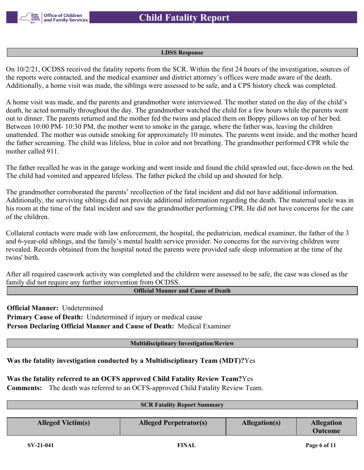

#### **LDSS Response**

On 10/2/21, OCDSS received the fatality reports from the SCR. Within the first 24 hours of the investigation, sources of the reports were contacted, and the medical examiner and district attorney's offices were made aware of the death. Additionally, a home visit was made, the siblings were assessed to be safe, and a CPS history check was completed.

A home visit was made, and the parents and grandmother were interviewed. The mother stated on the day of the child's death, he acted normally throughout the day. The grandmother watched the child for a few hours while the parents went out to dinner. The parents returned and the mother fed the twins and placed them on Boppy pillows on top of her bed. Between 10:00 PM- 10:30 PM, the mother went to smoke in the garage, where the father was, leaving the children unattended. The mother was outside smoking for approximately 10 minutes. The parents went inside, and the mother heard the father screaming. The child was lifeless, blue in color and not breathing. The grandmother performed CPR while the mother called 911.

The father recalled he was in the garage working and went inside and found the child sprawled out, face-down on the bed. The child had vomited and appeared lifeless. The father picked the child up and shouted for help.

The grandmother corroborated the parents' recollection of the fatal incident and did not have additional information. Additionally, the surviving siblings did not provide additional information regarding the death. The maternal uncle was in his room at the time of the fatal incident and saw the grandmother performing CPR. He did not have concerns for the care of the children.

Collateral contacts were made with law enforcement, the hospital, the pediatrician, medical examiner, the father of the 3 and 6-year-old siblings, and the family's mental health service provider. No concerns for the surviving children were revealed. Records obtained from the hospital noted the parents were provided safe sleep information at the time of the twins' birth.

After all required casework activity was completed and the children were assessed to be safe, the case was closed as the family did not require any further intervention from OCDSS.

### **Official Manner and Cause of Death**

**Official Manner:** Undetermined **Primary Cause of Death:** Undetermined if injury or medical cause **Person Declaring Official Manner and Cause of Death:** Medical Examiner

### **Multidisciplinary Investigation/Review**

**Was the fatality investigation conducted by a Multidisciplinary Team (MDT)?**Yes

**Was the fatality referred to an OCFS approved Child Fatality Review Team?**Yes

**Comments:** The death was referred to an OCFS-approved Child Fatality Review Team.

| <b>SCR Fatality Report Summary</b> |                               |               |                                     |  |
|------------------------------------|-------------------------------|---------------|-------------------------------------|--|
|                                    |                               |               |                                     |  |
| <b>Alleged Victim(s)</b>           | <b>Alleged Perpetrator(s)</b> | Allegation(s) | <b>Allegation</b><br><b>Outcome</b> |  |
|                                    |                               |               |                                     |  |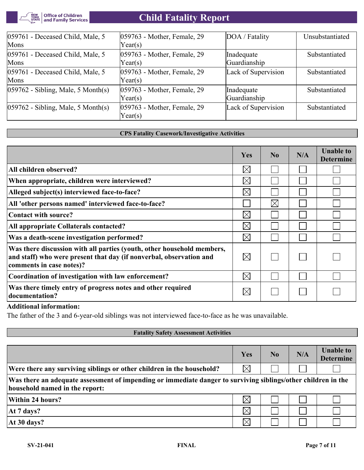

| 059761 - Deceased Child, Male, 5       | 059763 - Mother, Female, 29 | DOA / Fatality      | Unsubstantiated |
|----------------------------------------|-----------------------------|---------------------|-----------------|
| Mons                                   | Year(s)                     |                     |                 |
| 059761 - Deceased Child, Male, 5       | 059763 - Mother, Female, 29 | Inadequate          | Substantiated   |
| Mons                                   | Year(s)                     | Guardianship        |                 |
| 059761 - Deceased Child, Male, 5       | 059763 - Mother, Female, 29 | Lack of Supervision | Substantiated   |
| Mons                                   | Year(s)                     |                     |                 |
| $ 059762 - Sibling, Male, 5 Month(s) $ | 059763 - Mother, Female, 29 | Inadequate          | Substantiated   |
|                                        | Year(s)                     | Guardianship        |                 |
| $ 059762 - Sibling, Male, 5 Month(s) $ | 059763 - Mother, Female, 29 | Lack of Supervision | Substantiated   |
|                                        | Year(s)                     |                     |                 |

### **CPS Fatality Casework/Investigative Activities**

|                                                                                                                                                                           | <b>Yes</b>  | No          | N/A | <b>Unable to</b><br><b>Determine</b> |
|---------------------------------------------------------------------------------------------------------------------------------------------------------------------------|-------------|-------------|-----|--------------------------------------|
| All children observed?                                                                                                                                                    | $\boxtimes$ |             |     |                                      |
| When appropriate, children were interviewed?                                                                                                                              | $\boxtimes$ |             |     |                                      |
| Alleged subject(s) interviewed face-to-face?                                                                                                                              | $\boxtimes$ |             |     |                                      |
| All 'other persons named' interviewed face-to-face?                                                                                                                       |             | $\boxtimes$ |     |                                      |
| Contact with source?                                                                                                                                                      | $\boxtimes$ |             |     |                                      |
| All appropriate Collaterals contacted?                                                                                                                                    | $\times$    |             |     |                                      |
| Was a death-scene investigation performed?                                                                                                                                | $\boxtimes$ |             |     |                                      |
| Was there discussion with all parties (youth, other household members,<br>and staff) who were present that day (if nonverbal, observation and<br>comments in case notes)? | $\bowtie$   |             |     |                                      |
| Coordination of investigation with law enforcement?                                                                                                                       | $\boxtimes$ |             |     |                                      |
| Was there timely entry of progress notes and other required<br>documentation?                                                                                             | $\boxtimes$ |             |     |                                      |

### **Additional information:**

The father of the 3 and 6-year-old siblings was not interviewed face-to-face as he was unavailable.

| <b>Fatality Safety Assessment Activities</b>                                                                                                    |             |    |     |                                      |  |  |  |
|-------------------------------------------------------------------------------------------------------------------------------------------------|-------------|----|-----|--------------------------------------|--|--|--|
|                                                                                                                                                 |             |    |     |                                      |  |  |  |
|                                                                                                                                                 | Yes         | No | N/A | <b>Unable to</b><br><b>Determine</b> |  |  |  |
| Were there any surviving siblings or other children in the household?                                                                           |             |    |     |                                      |  |  |  |
| Was there an adequate assessment of impending or immediate danger to surviving siblings/other children in the<br>household named in the report: |             |    |     |                                      |  |  |  |
| Within 24 hours?                                                                                                                                | $\boxtimes$ |    |     |                                      |  |  |  |
| At 7 days?                                                                                                                                      | $\times$    |    |     |                                      |  |  |  |
| At 30 days?                                                                                                                                     |             |    |     |                                      |  |  |  |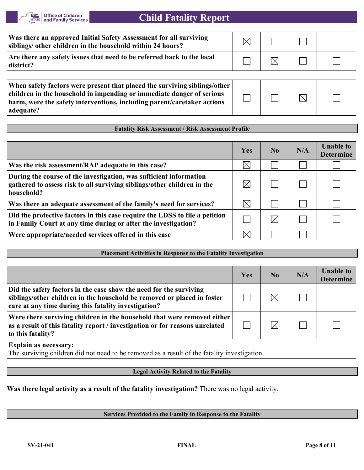

| Was there an approved Initial Safety Assessment for all surviving<br>siblings/ other children in the household within 24 hours? |  |  |
|---------------------------------------------------------------------------------------------------------------------------------|--|--|
| Are there any safety issues that need to be referred back to the local<br>district?                                             |  |  |
|                                                                                                                                 |  |  |

**When safety factors were present that placed the surviving siblings/other children in the household in impending or immediate danger of serious harm, were the safety interventions, including parent/caretaker actions adequate?**

### **Fatality Risk Assessment / Risk Assessment Profile**

|                                                                                                                                                             | Yes         | $\bf N_0$ | N/A | <b>Unable to</b><br><b>Determine</b> |
|-------------------------------------------------------------------------------------------------------------------------------------------------------------|-------------|-----------|-----|--------------------------------------|
| Was the risk assessment/RAP adequate in this case?                                                                                                          | $\times$    |           |     |                                      |
| During the course of the investigation, was sufficient information<br>gathered to assess risk to all surviving siblings/other children in the<br>household? |             |           |     |                                      |
| Was there an adequate assessment of the family's need for services?                                                                                         | $\boxtimes$ |           |     |                                      |
| Did the protective factors in this case require the LDSS to file a petition<br>in Family Court at any time during or after the investigation?               |             | $\times$  |     |                                      |
| Were appropriate/needed services offered in this case                                                                                                       | $\times$    |           |     |                                      |

### **Placement Activities in Response to the Fatality Investigation**

|                                                                                                                                                                                                       | Yes | N <sub>0</sub> | N/A | <b>Unable to</b><br><b>Determine</b> |
|-------------------------------------------------------------------------------------------------------------------------------------------------------------------------------------------------------|-----|----------------|-----|--------------------------------------|
| Did the safety factors in the case show the need for the surviving<br>siblings/other children in the household be removed or placed in foster<br>care at any time during this fatality investigation? |     | $\boxtimes$    |     |                                      |
| Were there surviving children in the household that were removed either<br>as a result of this fatality report / investigation or for reasons unrelated<br>to this fatality?                          |     | $\times$       |     |                                      |
| <b>Explain as necessary:</b><br>The surviving children did not need to be removed as a result of the fatality investigation.                                                                          |     |                |     |                                      |

### **Legal Activity Related to the Fatality**

**Was there legal activity as a result of the fatality investigation?** There was no legal activity.

### **Services Provided to the Family in Response to the Fatality**

 $\boxtimes$ 

 $\Box$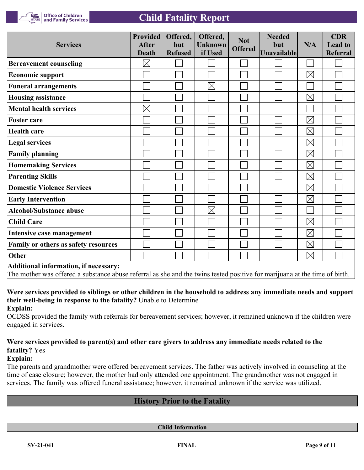

**Office of Children<br>and Family Services** 

| <b>Services</b>                       | <b>Provided</b><br><b>After</b><br><b>Death</b> | Offered,<br>but<br><b>Refused</b> | Offered,<br><b>Unknown</b><br>if Used | <b>Not</b><br><b>Offered</b> | <b>Needed</b><br>but<br>Unavailable | N/A         | <b>CDR</b><br><b>Lead to</b><br><b>Referral</b> |
|---------------------------------------|-------------------------------------------------|-----------------------------------|---------------------------------------|------------------------------|-------------------------------------|-------------|-------------------------------------------------|
| <b>Bereavement counseling</b>         | $\boxtimes$                                     |                                   |                                       |                              |                                     |             |                                                 |
| <b>Economic support</b>               |                                                 |                                   |                                       |                              |                                     | $\boxtimes$ |                                                 |
| <b>Funeral arrangements</b>           |                                                 |                                   | $\boxtimes$                           |                              |                                     |             |                                                 |
| <b>Housing assistance</b>             |                                                 |                                   |                                       |                              |                                     | $\boxtimes$ |                                                 |
| <b>Mental health services</b>         | $\boxtimes$                                     |                                   |                                       |                              |                                     |             |                                                 |
| <b>Foster care</b>                    |                                                 |                                   |                                       |                              |                                     | $\boxtimes$ |                                                 |
| <b>Health care</b>                    |                                                 |                                   |                                       |                              |                                     | $\boxtimes$ |                                                 |
| <b>Legal services</b>                 |                                                 |                                   |                                       |                              |                                     | $\boxtimes$ |                                                 |
| <b>Family planning</b>                |                                                 |                                   |                                       |                              |                                     | $\boxtimes$ |                                                 |
| <b>Homemaking Services</b>            |                                                 |                                   |                                       |                              |                                     | $\boxtimes$ |                                                 |
| <b>Parenting Skills</b>               |                                                 |                                   |                                       |                              |                                     | $\boxtimes$ |                                                 |
| <b>Domestic Violence Services</b>     |                                                 |                                   |                                       |                              |                                     | $\boxtimes$ |                                                 |
| <b>Early Intervention</b>             |                                                 |                                   |                                       |                              |                                     | $\boxtimes$ |                                                 |
| <b>Alcohol/Substance abuse</b>        |                                                 |                                   | $\boxtimes$                           |                              |                                     |             |                                                 |
| <b>Child Care</b>                     |                                                 |                                   |                                       |                              |                                     | $\boxtimes$ |                                                 |
| Intensive case management             |                                                 |                                   |                                       |                              |                                     | $\boxtimes$ |                                                 |
| Family or others as safety resources  |                                                 |                                   |                                       |                              |                                     | $\boxtimes$ |                                                 |
| Other                                 |                                                 |                                   |                                       |                              |                                     | $\boxtimes$ |                                                 |
| Additional information, if necessary: |                                                 |                                   |                                       |                              |                                     |             |                                                 |

The mother was offered a substance abuse referral as she and the twins tested positive for marijuana at the time of birth.

**Were services provided to siblings or other children in the household to address any immediate needs and support their well-being in response to the fatality?** Unable to Determine **Explain:**

OCDSS provided the family with referrals for bereavement services; however, it remained unknown if the children were engaged in services.

## **Were services provided to parent(s) and other care givers to address any immediate needs related to the fatality?** Yes

### **Explain:**

The parents and grandmother were offered bereavement services. The father was actively involved in counseling at the time of case closure; however, the mother had only attended one appointment. The grandmother was not engaged in services. The family was offered funeral assistance; however, it remained unknown if the service was utilized.

## **History Prior to the Fatality**

**Child Information**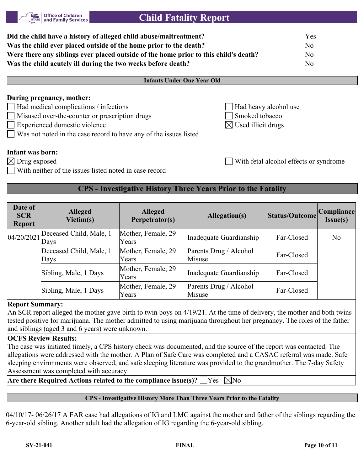**Infants Under One Year Old**

| Did the child have a history of alleged child abuse/maltreatment?                    | Yes |
|--------------------------------------------------------------------------------------|-----|
| Was the child ever placed outside of the home prior to the death?                    | No. |
| Were there any siblings ever placed outside of the home prior to this child's death? | No. |
| Was the child acutely ill during the two weeks before death?                         | No  |
|                                                                                      |     |

## **During pregnancy, mother:**

Had medical complications  $/$  infections  $\Box$  Had heavy alcohol use

**Office of Children** and Family Services

- $M$ isused over-the-counter or prescription drugs  $\Box$  Smoked tobacco
- Experienced domestic violence  $\boxtimes$  Used illicit drugs
- Was not noted in the case record to have any of the issues listed

### **Infant was born:**

 $\boxtimes$  Drug exposed  $\blacksquare$ 

With neither of the issues listed noted in case record

## **CPS - Investigative History Three Years Prior to the Fatality**

| Date of<br><b>SCR</b><br><b>Report</b> | <b>Alleged</b><br>Victim(s)     | <b>Alleged</b><br>Perpetrator(s) | Allegation(s)                    | Status/Outcome | <b>Compliance</b><br>Issue(s) |
|----------------------------------------|---------------------------------|----------------------------------|----------------------------------|----------------|-------------------------------|
| 04/20/2021                             | Deceased Child, Male, 1<br>Days | Mother, Female, 29<br>Years      | Inadequate Guardianship          | Far-Closed     | N <sub>o</sub>                |
|                                        | Deceased Child, Male, 1<br>Days | Mother, Female, 29<br>Years      | Parents Drug / Alcohol<br>Misuse | Far-Closed     |                               |
|                                        | Sibling, Male, 1 Days           | Mother, Female, 29<br>Years      | Inadequate Guardianship          | Far-Closed     |                               |
|                                        | Sibling, Male, 1 Days           | Mother, Female, 29<br>Years      | Parents Drug / Alcohol<br>Misuse | Far-Closed     |                               |

### **Report Summary:**

An SCR report alleged the mother gave birth to twin boys on 4/19/21. At the time of delivery, the mother and both twins tested positive for marijuana. The mother admitted to using marijuana throughout her pregnancy. The roles of the father and siblings (aged 3 and 6 years) were unknown.

### **OCFS Review Results:**

The case was initiated timely, a CPS history check was documented, and the source of the report was contacted. The allegations were addressed with the mother. A Plan of Safe Care was completed and a CASAC referral was made. Safe sleeping environments were observed, and safe sleeping literature was provided to the grandmother. The 7-day Safety Assessment was completed with accuracy.

**Are there Required Actions related to the compliance issue(s)?**  $\Box$  Yes  $\Box$  No

### **CPS - Investigative History More Than Three Years Prior to the Fatality**

04/10/17- 06/26/17 A FAR case had allegations of IG and LMC against the mother and father of the siblings regarding the 6-year-old sibling. Another adult had the allegation of IG regarding the 6-year-old sibling.

- 
- 
-